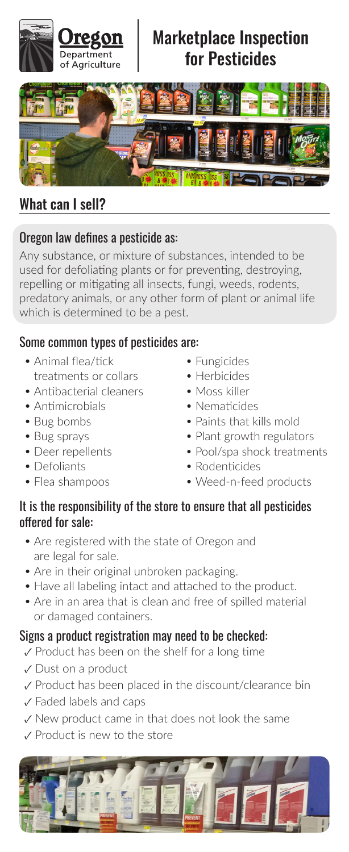

# Marketplace Inspection for Pesticides



## What can I sell?

### Oregon law defines a pesticide as:

Any substance, or mixture of substances, intended to be used for defoliating plants or for preventing, destroying, repelling or mitigating all insects, fungi, weeds, rodents, predatory animals, or any other form of plant or animal life which is determined to be a pest.

### Some common types of pesticides are:

- Animal flea/tick treatments or collars
- Antibacterial cleaners
- Antimicrobials
- Bug bombs
- Bug sprays
- Deer repellents
- Defoliants
- Flea shampoos
- Fungicides
- Herbicides
- Moss killer
- Nematicides
- Paints that kills mold
- Plant growth regulators
- Pool/spa shock treatments
- Rodenticides
- · Weed-n-feed products

#### It is the responsibility of the store to ensure that all pesticides offered for sale:

- Are registered with the state of Oregon and are legal for sale.
- Are in their original unbroken packaging.
- Have all labeling intact and attached to the product.
- Are in an area that is clean and free of spilled material or damaged containers.

### Signs a product registration may need to be checked:

- ✓ Product has been on the shelf for a long time
- ✓ Dust on a product
- ✓ Product has been placed in the discount/clearance bin
- ✓ Faded labels and caps
- ✓ New product came in that does not look the same
- ✓ Product is new to the store